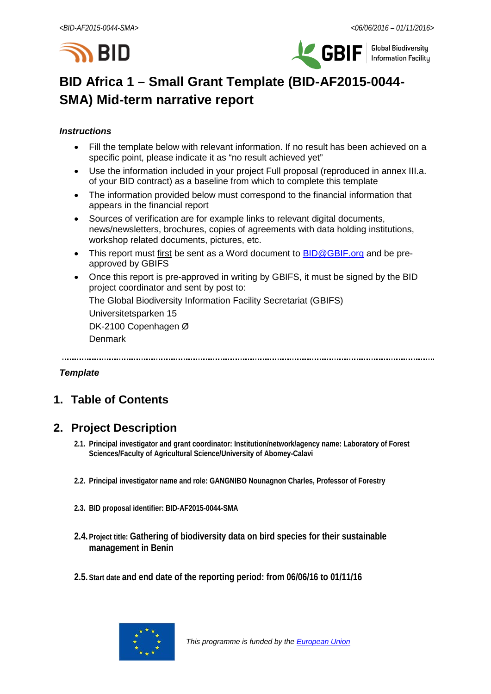



# **BID Africa 1 – Small Grant Template (BID-AF2015-0044- SMA) Mid-term narrative report**

### *Instructions*

- Fill the template below with relevant information. If no result has been achieved on a specific point, please indicate it as "no result achieved yet"
- Use the information included in your project Full proposal (reproduced in annex III.a. of your BID contract) as a baseline from which to complete this template
- The information provided below must correspond to the financial information that appears in the financial report
- Sources of verification are for example links to relevant digital documents, news/newsletters, brochures, copies of agreements with data holding institutions, workshop related documents, pictures, etc.
- This report must first be sent as a Word document to **BID@GBIF.org** and be preapproved by GBIFS
- Once this report is pre-approved in writing by GBIFS, it must be signed by the BID project coordinator and sent by post to:

The Global Biodiversity Information Facility Secretariat (GBIFS)

Universitetsparken 15

DK-2100 Copenhagen Ø

Denmark

### *Template*

# **1. Table of Contents**

## **2. Project Description**

- **2.1. Principal investigator and grant coordinator: Institution/network/agency name: Laboratory of Forest Sciences/Faculty of Agricultural Science/University of Abomey-Calavi**
- **2.2. Principal investigator name and role: GANGNIBO Nounagnon Charles, Professor of Forestry**
- **2.3. BID proposal identifier: BID-AF2015-0044-SMA**
- **2.4. Project title: Gathering of biodiversity data on bird species for their sustainable management in Benin**
- **2.5. Start date and end date of the reporting period: from 06/06/16 to 01/11/16**

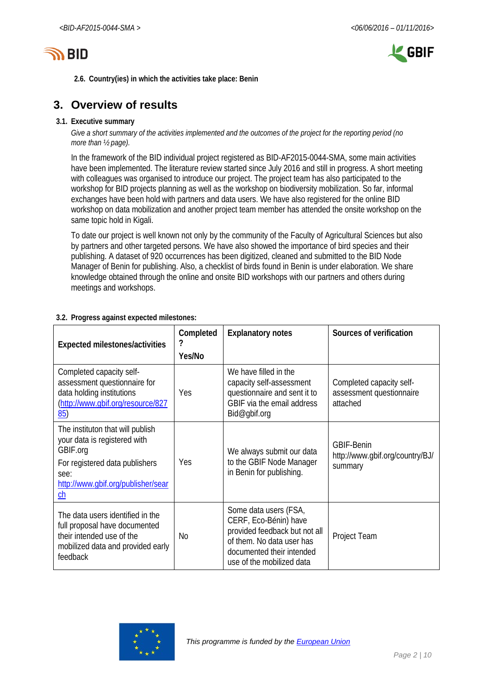



**2.6. Country(ies) in which the activities take place: Benin**

## **3. Overview of results**

#### **3.1. Executive summary**

*Give a short summary of the activities implemented and the outcomes of the project for the reporting period (no more than ½ page).*

In the framework of the BID individual project registered as BID-AF2015-0044-SMA, some main activities have been implemented. The literature review started since July 2016 and still in progress. A short meeting with colleagues was organised to introduce our project. The project team has also participated to the workshop for BID projects planning as well as the workshop on biodiversity mobilization. So far, informal exchanges have been hold with partners and data users. We have also registered for the online BID workshop on data mobilization and another project team member has attended the onsite workshop on the same topic hold in Kigali.

To date our project is well known not only by the community of the Faculty of Agricultural Sciences but also by partners and other targeted persons. We have also showed the importance of bird species and their publishing. A dataset of 920 occurrences has been digitized, cleaned and submitted to the BID Node Manager of Benin for publishing. Also, a checklist of birds found in Benin is under elaboration. We share knowledge obtained through the online and onsite BID workshops with our partners and others during meetings and workshops.

| Expected milestones/activities                                                                                                                                     | Completed<br>?<br>Yes/No | <b>Explanatory notes</b>                                                                                                                                               | Sources of verification                                          |  |  |  |  |  |
|--------------------------------------------------------------------------------------------------------------------------------------------------------------------|--------------------------|------------------------------------------------------------------------------------------------------------------------------------------------------------------------|------------------------------------------------------------------|--|--|--|--|--|
| Completed capacity self-<br>assessment questionnaire for<br>data holding institutions<br>(http://www.qbif.org/resource/827<br>85)                                  | Yes                      | We have filled in the<br>capacity self-assessment<br>questionnaire and sent it to<br>GBIF via the email address<br>Bid@gbif.org                                        | Completed capacity self-<br>assessment questionnaire<br>attached |  |  |  |  |  |
| The instituton that will publish<br>your data is registered with<br>GBIF.org<br>For registered data publishers<br>see:<br>http://www.qbif.org/publisher/sear<br>ch | Yes                      | We always submit our data<br>to the GBIF Node Manager<br>in Benin for publishing.                                                                                      | <b>GBIF-Benin</b><br>http://www.gbif.org/country/BJ/<br>summary  |  |  |  |  |  |
| The data users identified in the<br>full proposal have documented<br>their intended use of the<br>mobilized data and provided early<br>feedback                    | No                       | Some data users (FSA,<br>CERF, Eco-Bénin) have<br>provided feedback but not all<br>of them. No data user has<br>documented their intended<br>use of the mobilized data | Project Team                                                     |  |  |  |  |  |

### **3.2. Progress against expected milestones:**

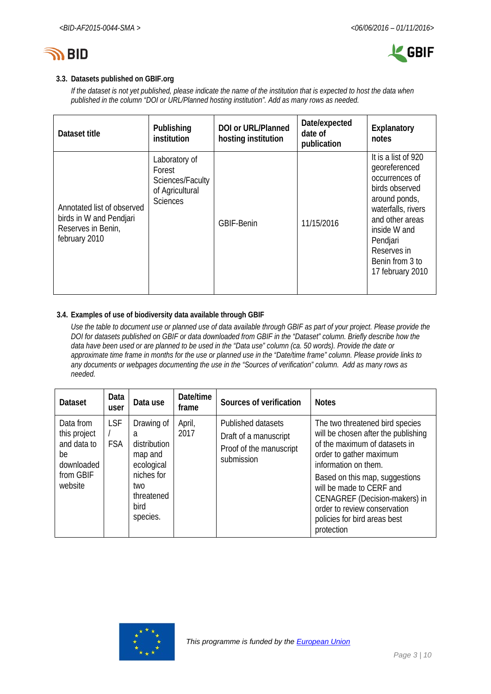



#### **3.3. Datasets published on GBIF.org**

*If the dataset is not yet published, please indicate the name of the institution that is expected to host the data when published in the column "DOI or URL/Planned hosting institution". Add as many rows as needed.*

| Dataset title                                                                                | Publishing<br>institution                                                         | <b>DOI or URL/Planned</b><br>hosting institution | Date/expected<br>date of<br>publication | Explanatory<br>notes                                                                                                                                                                                                 |
|----------------------------------------------------------------------------------------------|-----------------------------------------------------------------------------------|--------------------------------------------------|-----------------------------------------|----------------------------------------------------------------------------------------------------------------------------------------------------------------------------------------------------------------------|
| Annotated list of observed<br>birds in W and Pendjari<br>Reserves in Benin,<br>february 2010 | Laboratory of<br>Forest<br>Sciences/Faculty<br>of Agricultural<br><b>Sciences</b> | <b>GBIF-Benin</b>                                | 11/15/2016                              | It is a list of 920<br>georeferenced<br>occurrences of<br>birds observed<br>around ponds,<br>waterfalls, rivers<br>and other areas<br>inside W and<br>Pendjari<br>Reserves in<br>Benin from 3 to<br>17 february 2010 |

#### **3.4. Examples of use of biodiversity data available through GBIF**

*Use the table to document use or planned use of data available through GBIF as part of your project. Please provide the DOI for datasets published on GBIF or data downloaded from GBIF in the "Dataset" column. Briefly describe how the data have been used or are planned to be used in the "Data use" column (ca. 50 words). Provide the date or approximate time frame in months for the use or planned use in the "Date/time frame" column. Please provide links to any documents or webpages documenting the use in the "Sources of verification" column. Add as many rows as needed.*

| <b>Dataset</b>                                                                       | Data<br>user             | Data use                                                                                                        | Date/time<br>frame | Sources of verification                                                              | <b>Notes</b>                                                                                                                                                                                                                                                                                                                            |
|--------------------------------------------------------------------------------------|--------------------------|-----------------------------------------------------------------------------------------------------------------|--------------------|--------------------------------------------------------------------------------------|-----------------------------------------------------------------------------------------------------------------------------------------------------------------------------------------------------------------------------------------------------------------------------------------------------------------------------------------|
| Data from<br>this project<br>and data to<br>be<br>downloaded<br>from GBIF<br>website | <b>LSF</b><br><b>FSA</b> | Drawing of<br>a<br>distribution<br>map and<br>ecological<br>niches for<br>two<br>threatened<br>bird<br>species. | April,<br>2017     | Published datasets<br>Draft of a manuscript<br>Proof of the manuscript<br>submission | The two threatened bird species<br>will be chosen after the publishing<br>of the maximum of datasets in<br>order to gather maximum<br>information on them.<br>Based on this map, suggestions<br>will be made to CERF and<br>CENAGREF (Decision-makers) in<br>order to review conservation<br>policies for bird areas best<br>protection |

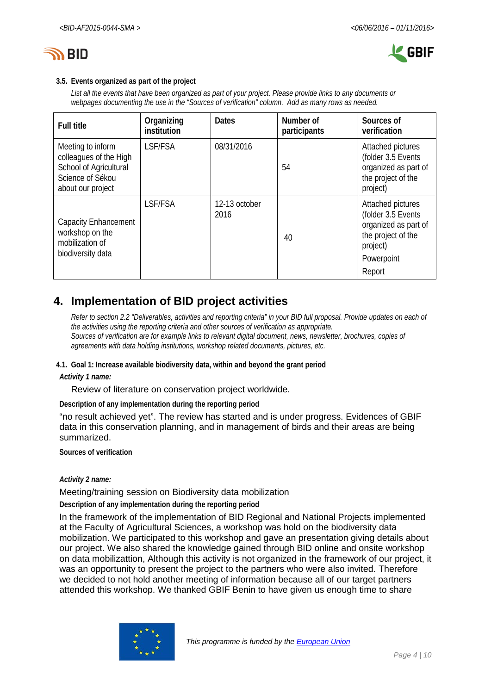



#### **3.5. Events organized as part of the project**

*List all the events that have been organized as part of your project. Please provide links to any documents or webpages documenting the use in the "Sources of verification" column. Add as many rows as needed.*

| <b>Full title</b>                                                                                              | Organizing<br>institution | <b>Dates</b>          | Number of<br>participants | Sources of<br>verification                                                                                                |
|----------------------------------------------------------------------------------------------------------------|---------------------------|-----------------------|---------------------------|---------------------------------------------------------------------------------------------------------------------------|
| Meeting to inform<br>colleagues of the High<br>School of Agricultural<br>Science of Sékou<br>about our project | LSF/FSA                   | 08/31/2016            | 54                        | Attached pictures<br>(folder 3.5 Events<br>organized as part of<br>the project of the<br>project)                         |
| <b>Capacity Enhancement</b><br>workshop on the<br>mobilization of<br>biodiversity data                         | LSF/FSA                   | 12-13 october<br>2016 | 40                        | Attached pictures<br>(folder 3.5 Events<br>organized as part of<br>the project of the<br>project)<br>Powerpoint<br>Report |

# **4. Implementation of BID project activities**

*Refer to section 2.2 "Deliverables, activities and reporting criteria" in your BID full proposal. Provide updates on each of the activities using the reporting criteria and other sources of verification as appropriate. Sources of verification are for example links to relevant digital document, news, newsletter, brochures, copies of agreements with data holding institutions, workshop related documents, pictures, etc.*

## **4.1. Goal 1: Increase available biodiversity data, within and beyond the grant period**

*Activity 1 name:*

Review of literature on conservation project worldwide*.*

**Description of any implementation during the reporting period**

"no result achieved yet". The review has started and is under progress. Evidences of GBIF data in this conservation planning, and in management of birds and their areas are being summarized.

**Sources of verification**

#### *Activity 2 name:*

Meeting/training session on Biodiversity data mobilization

**Description of any implementation during the reporting period**

In the framework of the implementation of BID Regional and National Projects implemented at the Faculty of Agricultural Sciences, a workshop was hold on the biodiversity data mobilization. We participated to this workshop and gave an presentation giving details about our project. We also shared the knowledge gained through BID online and onsite workshop on data mobilizattion, Although this activity is not organized in the framework of our project, it was an opportunity to present the project to the partners who were also invited. Therefore we decided to not hold another meeting of information because all of our target partners attended this workshop. We thanked GBIF Benin to have given us enough time to share

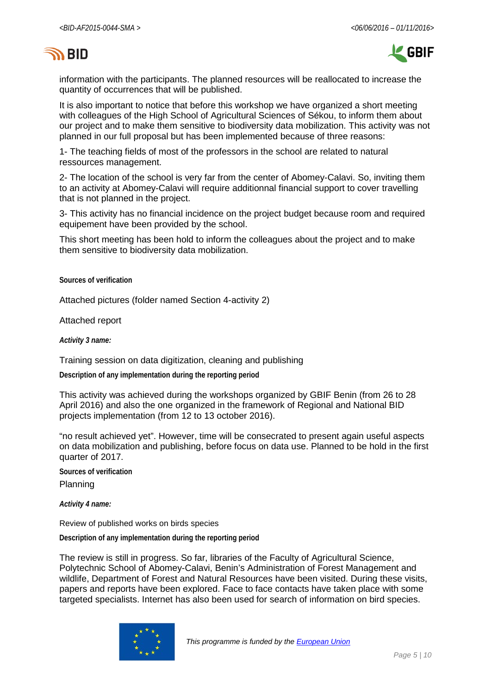# **SY BID**



information with the participants. The planned resources will be reallocated to increase the quantity of occurrences that will be published.

It is also important to notice that before this workshop we have organized a short meeting with colleagues of the High School of Agricultural Sciences of Sékou, to inform them about our project and to make them sensitive to biodiversity data mobilization. This activity was not planned in our full proposal but has been implemented because of three reasons:

1- The teaching fields of most of the professors in the school are related to natural ressources management.

2- The location of the school is very far from the center of Abomey-Calavi. So, inviting them to an activity at Abomey-Calavi will require additionnal financial support to cover travelling that is not planned in the project.

3- This activity has no financial incidence on the project budget because room and required equipement have been provided by the school.

This short meeting has been hold to inform the colleagues about the project and to make them sensitive to biodiversity data mobilization.

**Sources of verification**

Attached pictures (folder named Section 4-activity 2)

Attached report

*Activity 3 name:*

Training session on data digitization, cleaning and publishing

**Description of any implementation during the reporting period**

This activity was achieved during the workshops organized by GBIF Benin (from 26 to 28 April 2016) and also the one organized in the framework of Regional and National BID projects implementation (from 12 to 13 october 2016).

"no result achieved yet". However, time will be consecrated to present again useful aspects on data mobilization and publishing, before focus on data use. Planned to be hold in the first quarter of 2017.

**Sources of verification** Planning

*Activity 4 name:*

Review of published works on birds species

**Description of any implementation during the reporting period**

The review is still in progress. So far, libraries of the Faculty of Agricultural Science, Polytechnic School of Abomey-Calavi, Benin's Administration of Forest Management and wildlife, Department of Forest and Natural Resources have been visited. During these visits, papers and reports have been explored. Face to face contacts have taken place with some targeted specialists. Internet has also been used for search of information on bird species.

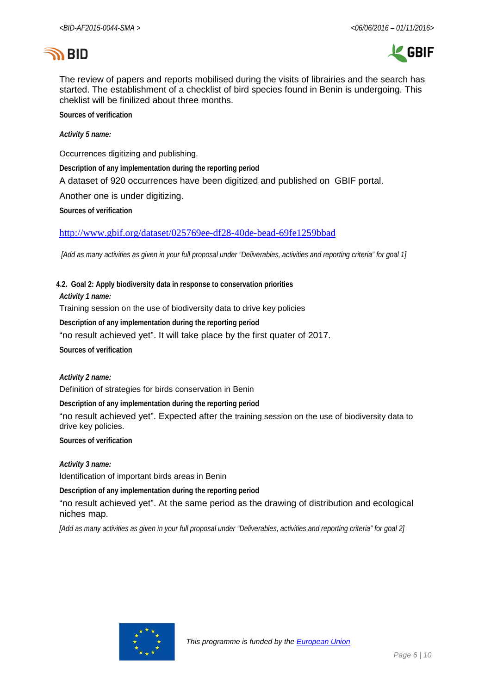# **SID**



The review of papers and reports mobilised during the visits of librairies and the search has started. The establishment of a checklist of bird species found in Benin is undergoing. This cheklist will be finilized about three months.

**Sources of verification**

*Activity 5 name:*

Occurrences digitizing and publishing.

**Description of any implementation during the reporting period**

A dataset of 920 occurrences have been digitized and published on GBIF portal.

Another one is under digitizing.

**Sources of verification**

<http://www.gbif.org/dataset/025769ee-df28-40de-bead-69fe1259bbad>

*[Add as many activities as given in your full proposal under "Deliverables, activities and reporting criteria" for goal 1]*

**4.2. Goal 2: Apply biodiversity data in response to conservation priorities**

*Activity 1 name:*

Training session on the use of biodiversity data to drive key policies

**Description of any implementation during the reporting period**

"no result achieved yet". It will take place by the first quater of 2017.

**Sources of verification**

*Activity 2 name:*

Definition of strategies for birds conservation in Benin

**Description of any implementation during the reporting period**

"no result achieved yet". Expected after the training session on the use of biodiversity data to drive key policies.

**Sources of verification**

*Activity 3 name:*

Identification of important birds areas in Benin

**Description of any implementation during the reporting period**

"no result achieved yet". At the same period as the drawing of distribution and ecological niches map.

*[Add as many activities as given in your full proposal under "Deliverables, activities and reporting criteria" for goal 2]*

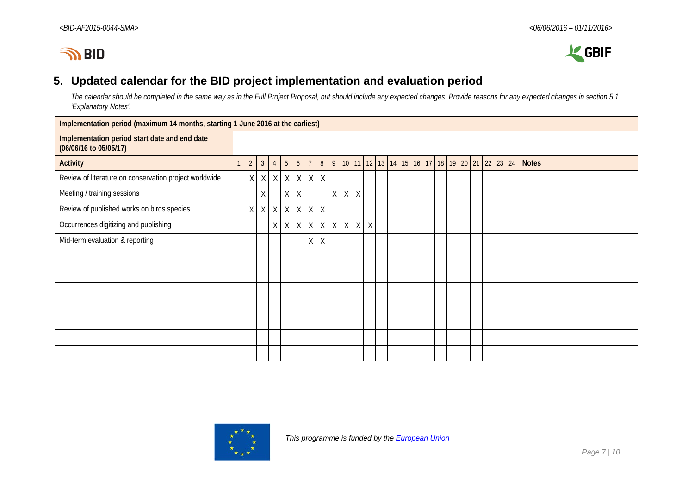



## **5. Updated calendar for the BID project implementation and evaluation period**

*The calendar should be completed in the same way as in the Full Project Proposal, but should include any expected changes. Provide reasons for any expected changes in section 5.1 'Explanatory Notes'.*

| Implementation period (maximum 14 months, starting 1 June 2016 at the earliest) |              |                |              |                |                |                |                |              |   |         |          |        |  |  |                                                  |  |  |  |              |
|---------------------------------------------------------------------------------|--------------|----------------|--------------|----------------|----------------|----------------|----------------|--------------|---|---------|----------|--------|--|--|--------------------------------------------------|--|--|--|--------------|
| Implementation period start date and end date<br>(06/06/16 to 05/05/17)         |              |                |              |                |                |                |                |              |   |         |          |        |  |  |                                                  |  |  |  |              |
| <b>Activity</b>                                                                 | $\mathbf{1}$ | $\overline{2}$ | $\mathbf{3}$ | $\overline{4}$ | 5 <sup>5</sup> | 6 <sup>1</sup> | $\overline{7}$ |              |   |         |          |        |  |  | 8 9 10 11 12 13 14 15 16 17 18 19 20 21 22 23 24 |  |  |  | <b>Notes</b> |
| Review of literature on conservation project worldwide                          |              | X              | X            |                | $X$ $X$        | X              | X              | $\mathsf{X}$ |   |         |          |        |  |  |                                                  |  |  |  |              |
| Meeting / training sessions                                                     |              |                | X            |                | $X \mid$       | $\chi$         |                |              | X | $\chi$  | $\times$ |        |  |  |                                                  |  |  |  |              |
| Review of published works on birds species                                      |              | X              | $X \mid$     | X              | $\times$       | X              | X              | X            |   |         |          |        |  |  |                                                  |  |  |  |              |
| Occurrences digitizing and publishing                                           |              |                |              | X              | $\times$       | X              | X              | X            | X | $\sf X$ | X        | $\chi$ |  |  |                                                  |  |  |  |              |
| Mid-term evaluation & reporting                                                 |              |                |              |                |                |                | X              | $\chi$       |   |         |          |        |  |  |                                                  |  |  |  |              |
|                                                                                 |              |                |              |                |                |                |                |              |   |         |          |        |  |  |                                                  |  |  |  |              |
|                                                                                 |              |                |              |                |                |                |                |              |   |         |          |        |  |  |                                                  |  |  |  |              |
|                                                                                 |              |                |              |                |                |                |                |              |   |         |          |        |  |  |                                                  |  |  |  |              |
|                                                                                 |              |                |              |                |                |                |                |              |   |         |          |        |  |  |                                                  |  |  |  |              |
|                                                                                 |              |                |              |                |                |                |                |              |   |         |          |        |  |  |                                                  |  |  |  |              |
|                                                                                 |              |                |              |                |                |                |                |              |   |         |          |        |  |  |                                                  |  |  |  |              |
|                                                                                 |              |                |              |                |                |                |                |              |   |         |          |        |  |  |                                                  |  |  |  |              |



 *This programme is funded by the [European Union](http://europa.eu/)*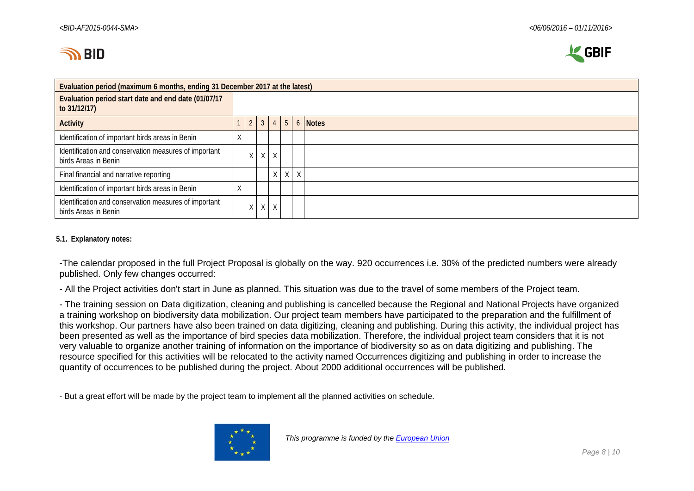



| Evaluation period (maximum 6 months, ending 31 December 2017 at the latest)   |  |                |              |          |                 |  |         |  |  |  |  |  |
|-------------------------------------------------------------------------------|--|----------------|--------------|----------|-----------------|--|---------|--|--|--|--|--|
| Evaluation period start date and end date (01/07/17<br>to 31/12/17)           |  |                |              |          |                 |  |         |  |  |  |  |  |
| <b>Activity</b>                                                               |  | $\overline{2}$ | $\mathbf{3}$ |          | $4 \mid 5 \mid$ |  | 6 Notes |  |  |  |  |  |
| Identification of important birds areas in Benin                              |  |                |              |          |                 |  |         |  |  |  |  |  |
| Identification and conservation measures of important<br>birds Areas in Benin |  | $\times$       | $\times$     | $\times$ |                 |  |         |  |  |  |  |  |
| Final financial and narrative reporting                                       |  |                |              |          | $X$ $X$ $X$     |  |         |  |  |  |  |  |
| Identification of important birds areas in Benin                              |  |                |              |          |                 |  |         |  |  |  |  |  |
| Identification and conservation measures of important<br>birds Areas in Benin |  | X              | $\times$     | X        |                 |  |         |  |  |  |  |  |

#### **5.1. Explanatory notes:**

-The calendar proposed in the full Project Proposal is globally on the way. 920 occurrences i.e. 30% of the predicted numbers were already published. Only few changes occurred:

- All the Project activities don't start in June as planned. This situation was due to the travel of some members of the Project team.

- The training session on Data digitization, cleaning and publishing is cancelled because the Regional and National Projects have organized a training workshop on biodiversity data mobilization. Our project team members have participated to the preparation and the fulfillment of this workshop. Our partners have also been trained on data digitizing, cleaning and publishing. During this activity, the individual project has been presented as well as the importance of bird species data mobilization. Therefore, the individual project team considers that it is not very valuable to organize another training of information on the importance of biodiversity so as on data digitizing and publishing. The resource specified for this activities will be relocated to the activity named Occurrences digitizing and publishing in order to increase the quantity of occurrences to be published during the project. About 2000 additional occurrences will be published.

- But a great effort will be made by the project team to implement all the planned activities on schedule.

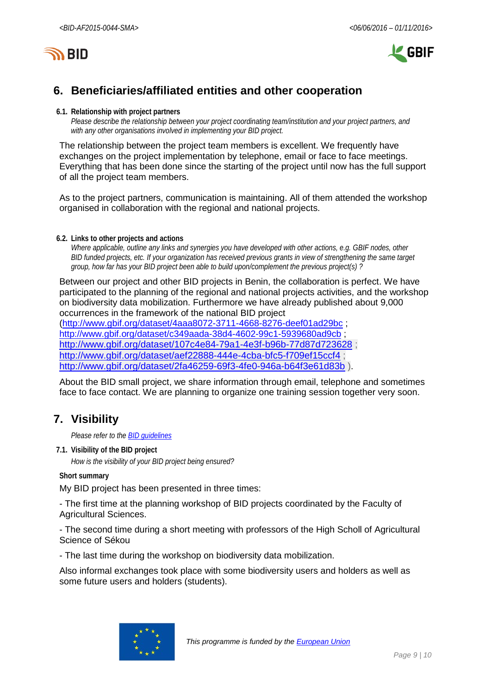

# **6. Beneficiaries/affiliated entities and other cooperation**

#### **6.1. Relationship with project partners**

*Please describe the relationship between your project coordinating team/institution and your project partners, and with any other organisations involved in implementing your BID project.*

The relationship between the project team members is excellent. We frequently have exchanges on the project implementation by telephone, email or face to face meetings. Everything that has been done since the starting of the project until now has the full support of all the project team members.

As to the project partners, communication is maintaining. All of them attended the workshop organised in collaboration with the regional and national projects.

**6.2. Links to other projects and actions**

*Where applicable, outline any links and synergies you have developed with other actions, e.g. GBIF nodes, other BID funded projects, etc. If your organization has received previous grants in view of strengthening the same target group, how far has your BID project been able to build upon/complement the previous project(s) ?*

Between our project and other BID projects in Benin, the collaboration is perfect. We have participated to the planning of the regional and national projects activities, and the workshop on biodiversity data mobilization. Furthermore we have already published about 9,000 occurrences in the framework of the national BID project [\(http://www.gbif.org/dataset/4aaa8072-3711-4668-8276-deef01ad29bc](http://www.gbif.org/dataset/4aaa8072-3711-4668-8276-deef01ad29bc) ;

<http://www.gbif.org/dataset/c349aada-38d4-4602-99c1-5939680ad9cb> ; <http://www.gbif.org/dataset/107c4e84-79a1-4e3f-b96b-77d87d723628> ; <http://www.gbif.org/dataset/aef22888-444e-4cba-bfc5-f709ef15ccf4>; <http://www.gbif.org/dataset/2fa46259-69f3-4fe0-946a-b64f3e61d83b> ).

About the BID small project, we share information through email, telephone and sometimes face to face contact. We are planning to organize one training session together very soon.

## **7. Visibility**

*Please refer to th[e BID guidelines](http://bid.gbif.org/en/community/communication-guidelines/)*

**7.1. Visibility of the BID project**

*How is the visibility of your BID project being ensured?*

**Short summary**

My BID project has been presented in three times:

- The first time at the planning workshop of BID projects coordinated by the Faculty of Agricultural Sciences.

- The second time during a short meeting with professors of the High Scholl of Agricultural Science of Sékou

- The last time during the workshop on biodiversity data mobilization.

Also informal exchanges took place with some biodiversity users and holders as well as some future users and holders (students).